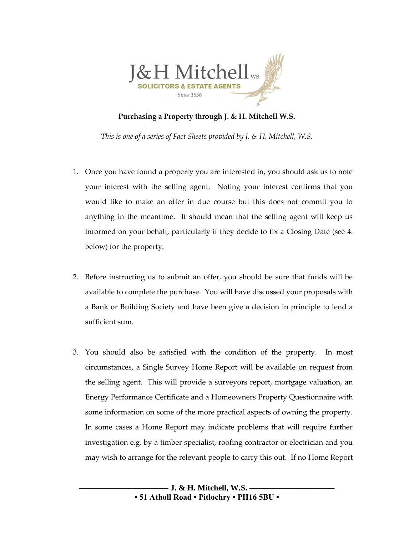

## **Purchasing a Property through J. & H. Mitchell W.S.**

*This is one of a series of Fact Sheets provided by J. & H. Mitchell, W.S.*

- 1. Once you have found a property you are interested in, you should ask us to note your interest with the selling agent. Noting your interest confirms that you would like to make an offer in due course but this does not commit you to anything in the meantime. It should mean that the selling agent will keep us informed on your behalf, particularly if they decide to fix a Closing Date (see 4. below) for the property.
- 2. Before instructing us to submit an offer, you should be sure that funds will be available to complete the purchase. You will have discussed your proposals with a Bank or Building Society and have been give a decision in principle to lend a sufficient sum.
- 3. You should also be satisfied with the condition of the property. In most circumstances, a Single Survey Home Report will be available on request from the selling agent. This will provide a surveyors report, mortgage valuation, an Energy Performance Certificate and a Homeowners Property Questionnaire with some information on some of the more practical aspects of owning the property. In some cases a Home Report may indicate problems that will require further investigation e.g. by a timber specialist, roofing contractor or electrician and you may wish to arrange for the relevant people to carry this out. If no Home Report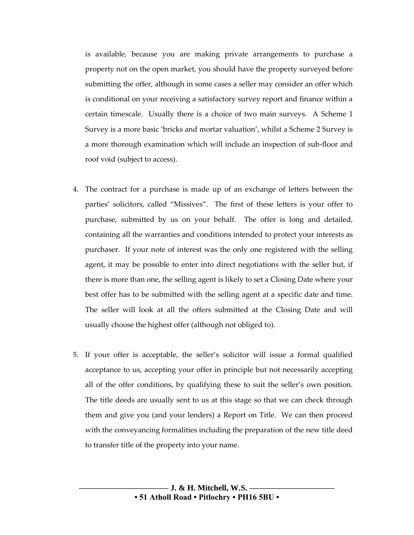is available, because you are making private arrangements to purchase a property not on the open market, you should have the property surveyed before submitting the offer, although in some cases a seller may consider an offer which is conditional on your receiving a satisfactory survey report and finance within a certain timescale. Usually there is a choice of two main surveys. A Scheme 1 Survey is a more basic 'bricks and mortar valuation', whilst a Scheme 2 Survey is a more thorough examination which will include an inspection of sub-floor and roof void (subject to access).

- 4. The contract for a purchase is made up of an exchange of letters between the parties' solicitors, called "Missives". The first of these letters is your offer to purchase, submitted by us on your behalf. The offer is long and detailed, containing all the warranties and conditions intended to protect your interests as purchaser. If your note of interest was the only one registered with the selling agent, it may be possible to enter into direct negotiations with the seller but, if there is more than one, the selling agent is likely to set a Closing Date where your best offer has to be submitted with the selling agent at a specific date and time. The seller will look at all the offers submitted at the Closing Date and will usually choose the highest offer (although not obliged to).
- 5. If your offer is acceptable, the seller's solicitor will issue a formal qualified acceptance to us, accepting your offer in principle but not necessarily accepting all of the offer conditions, by qualifying these to suit the seller's own position. The title deeds are usually sent to us at this stage so that we can check through them and give you (and your lenders) a Report on Title. We can then proceed with the conveyancing formalities including the preparation of the new title deed to transfer title of the property into your name.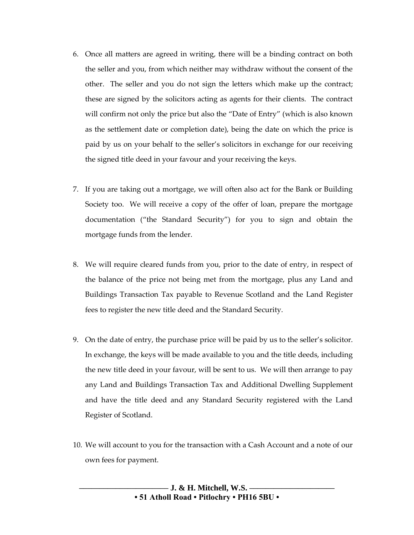- 6. Once all matters are agreed in writing, there will be a binding contract on both the seller and you, from which neither may withdraw without the consent of the other. The seller and you do not sign the letters which make up the contract; these are signed by the solicitors acting as agents for their clients. The contract will confirm not only the price but also the "Date of Entry" (which is also known as the settlement date or completion date), being the date on which the price is paid by us on your behalf to the seller's solicitors in exchange for our receiving the signed title deed in your favour and your receiving the keys.
- 7. If you are taking out a mortgage, we will often also act for the Bank or Building Society too. We will receive a copy of the offer of loan, prepare the mortgage documentation ("the Standard Security") for you to sign and obtain the mortgage funds from the lender.
- 8. We will require cleared funds from you, prior to the date of entry, in respect of the balance of the price not being met from the mortgage, plus any Land and Buildings Transaction Tax payable to Revenue Scotland and the Land Register fees to register the new title deed and the Standard Security.
- 9. On the date of entry, the purchase price will be paid by us to the seller's solicitor. In exchange, the keys will be made available to you and the title deeds, including the new title deed in your favour, will be sent to us. We will then arrange to pay any Land and Buildings Transaction Tax and Additional Dwelling Supplement and have the title deed and any Standard Security registered with the Land Register of Scotland.
- 10. We will account to you for the transaction with a Cash Account and a note of our own fees for payment.